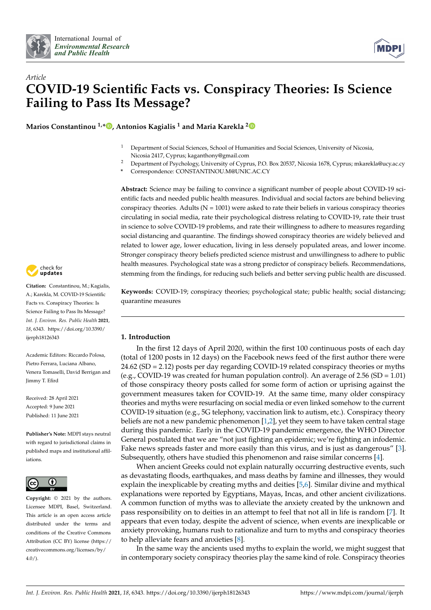



# *Article* **COVID-19 Scientific Facts vs. Conspiracy Theories: Is Science Failing to Pass Its Message?**

**Marios Constantinou 1,[\\*](https://orcid.org/0000-0002-6646-5877) , Antonios Kagialis <sup>1</sup> and Maria Karekla [2](https://orcid.org/0000-0001-7021-7908)**

- <sup>1</sup> Department of Social Sciences, School of Humanities and Social Sciences, University of Nicosia, Nicosia 2417, Cyprus; kaganthony@gmail.com
- <sup>2</sup> Department of Psychology, University of Cyprus, P.O. Box 20537, Nicosia 1678, Cyprus; mkarekla@ucy.ac.cy
- **\*** Correspondence: CONSTANTINOU.M@UNIC.AC.CY

**Abstract:** Science may be failing to convince a significant number of people about COVID-19 scientific facts and needed public health measures. Individual and social factors are behind believing conspiracy theories. Adults ( $N = 1001$ ) were asked to rate their beliefs in various conspiracy theories circulating in social media, rate their psychological distress relating to COVID-19, rate their trust in science to solve COVID-19 problems, and rate their willingness to adhere to measures regarding social distancing and quarantine. The findings showed conspiracy theories are widely believed and related to lower age, lower education, living in less densely populated areas, and lower income. Stronger conspiracy theory beliefs predicted science mistrust and unwillingness to adhere to public health measures. Psychological state was a strong predictor of conspiracy beliefs. Recommendations, stemming from the findings, for reducing such beliefs and better serving public health are discussed.

**Keywords:** COVID-19; conspiracy theories; psychological state; public health; social distancing; quarantine measures

## **1. Introduction**

In the first 12 days of April 2020, within the first 100 continuous posts of each day (total of 1200 posts in 12 days) on the Facebook news feed of the first author there were 24.62 (SD = 2.12) posts per day regarding COVID-19 related conspiracy theories or myths (e.g., COVID-19 was created for human population control). An average of  $2.56$  (SD = 1.01) of those conspiracy theory posts called for some form of action or uprising against the government measures taken for COVID-19. At the same time, many older conspiracy theories and myths were resurfacing on social media or even linked somehow to the current COVID-19 situation (e.g., 5G telephony, vaccination link to autism, etc.). Conspiracy theory beliefs are not a new pandemic phenomenon [\[1](#page-7-0)[,2\]](#page-7-1), yet they seem to have taken central stage during this pandemic. Early in the COVID-19 pandemic emergence, the WHO Director General postulated that we are "not just fighting an epidemic; we're fighting an infodemic. Fake news spreads faster and more easily than this virus, and is just as dangerous" [\[3\]](#page-7-2). Subsequently, others have studied this phenomenon and raise similar concerns [\[4\]](#page-8-0).

When ancient Greeks could not explain naturally occurring destructive events, such as devastating floods, earthquakes, and mass deaths by famine and illnesses, they would explain the inexplicable by creating myths and deities [\[5,](#page-8-1)[6\]](#page-8-2). Similar divine and mythical explanations were reported by Egyptians, Mayas, Incas, and other ancient civilizations. A common function of myths was to alleviate the anxiety created by the unknown and pass responsibility on to deities in an attempt to feel that not all in life is random [\[7\]](#page-8-3). It appears that even today, despite the advent of science, when events are inexplicable or anxiety provoking, humans rush to rationalize and turn to myths and conspiracy theories to help alleviate fears and anxieties [\[8\]](#page-8-4).

In the same way the ancients used myths to explain the world, we might suggest that in contemporary society conspiracy theories play the same kind of role. Conspiracy theories



**Citation:** Constantinou, M.; Kagialis, A.; Karekla, M. COVID-19 Scientific Facts vs. Conspiracy Theories: Is Science Failing to Pass Its Message? *Int. J. Environ. Res. Public Health* **2021**, *18*, 6343. [https://doi.org/10.3390/](https://doi.org/10.3390/ijerph18126343) [ijerph18126343](https://doi.org/10.3390/ijerph18126343)

Academic Editors: Riccardo Polosa, Pietro Ferrara, Luciana Albano, Venera Tomaselli, David Berrigan and Jimmy T. Efird

Received: 28 April 2021 Accepted: 9 June 2021 Published: 11 June 2021

**Publisher's Note:** MDPI stays neutral with regard to jurisdictional claims in published maps and institutional affiliations.



**Copyright:** © 2021 by the authors. Licensee MDPI, Basel, Switzerland. This article is an open access article distributed under the terms and conditions of the Creative Commons Attribution (CC BY) license (https:/[/](https://creativecommons.org/licenses/by/4.0/) [creativecommons.org/licenses/by/](https://creativecommons.org/licenses/by/4.0/)  $4.0/$ ).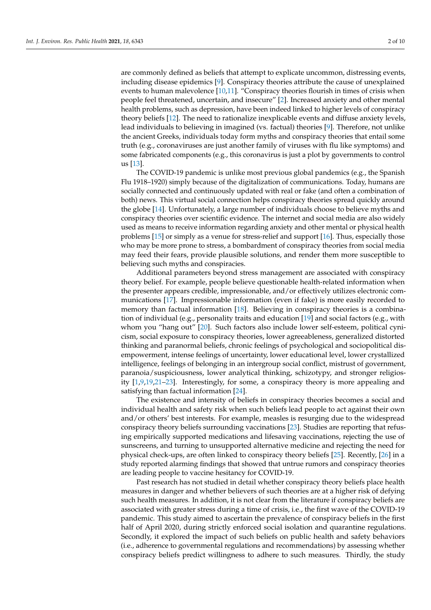are commonly defined as beliefs that attempt to explicate uncommon, distressing events, including disease epidemics [\[9\]](#page-8-5). Conspiracy theories attribute the cause of unexplained events to human malevolence [\[10,](#page-8-6)[11\]](#page-8-7). "Conspiracy theories flourish in times of crisis when people feel threatened, uncertain, and insecure" [\[2\]](#page-7-1). Increased anxiety and other mental health problems, such as depression, have been indeed linked to higher levels of conspiracy theory beliefs [\[12\]](#page-8-8). The need to rationalize inexplicable events and diffuse anxiety levels, lead individuals to believing in imagined (vs. factual) theories [\[9\]](#page-8-5). Therefore, not unlike the ancient Greeks, individuals today form myths and conspiracy theories that entail some truth (e.g., coronaviruses are just another family of viruses with flu like symptoms) and some fabricated components (e.g., this coronavirus is just a plot by governments to control us [\[13\]](#page-8-9).

The COVID-19 pandemic is unlike most previous global pandemics (e.g., the Spanish Flu 1918–1920) simply because of the digitalization of communications. Today, humans are socially connected and continuously updated with real or fake (and often a combination of both) news. This virtual social connection helps conspiracy theories spread quickly around the globe [\[14\]](#page-8-10). Unfortunately, a large number of individuals choose to believe myths and conspiracy theories over scientific evidence. The internet and social media are also widely used as means to receive information regarding anxiety and other mental or physical health problems [\[15\]](#page-8-11) or simply as a venue for stress-relief and support [\[16\]](#page-8-12). Thus, especially those who may be more prone to stress, a bombardment of conspiracy theories from social media may feed their fears, provide plausible solutions, and render them more susceptible to believing such myths and conspiracies.

Additional parameters beyond stress management are associated with conspiracy theory belief. For example, people believe questionable health-related information when the presenter appears credible, impressionable, and/or effectively utilizes electronic communications [\[17\]](#page-8-13). Impressionable information (even if fake) is more easily recorded to memory than factual information [\[18\]](#page-8-14). Believing in conspiracy theories is a combination of individual (e.g., personality traits and education [\[19\]](#page-8-15) and social factors (e.g., with whom you "hang out" [\[20\]](#page-8-16). Such factors also include lower self-esteem, political cynicism, social exposure to conspiracy theories, lower agreeableness, generalized distorted thinking and paranormal beliefs, chronic feelings of psychological and sociopolitical disempowerment, intense feelings of uncertainty, lower educational level, lower crystallized intelligence, feelings of belonging in an intergroup social conflict, mistrust of government, paranoia/suspiciousness, lower analytical thinking, schizotypy, and stronger religiosity [\[1](#page-7-0)[,9](#page-8-5)[,19](#page-8-15)[,21–](#page-8-17)[23\]](#page-8-18). Interestingly, for some, a conspiracy theory is more appealing and satisfying than factual information [\[24\]](#page-8-19).

The existence and intensity of beliefs in conspiracy theories becomes a social and individual health and safety risk when such beliefs lead people to act against their own and/or others' best interests. For example, measles is resurging due to the widespread conspiracy theory beliefs surrounding vaccinations [\[23\]](#page-8-18). Studies are reporting that refusing empirically supported medications and lifesaving vaccinations, rejecting the use of sunscreens, and turning to unsupported alternative medicine and rejecting the need for physical check-ups, are often linked to conspiracy theory beliefs [\[25\]](#page-8-20). Recently, [\[26\]](#page-8-21) in a study reported alarming findings that showed that untrue rumors and conspiracy theories are leading people to vaccine hesitancy for COVID-19.

Past research has not studied in detail whether conspiracy theory beliefs place health measures in danger and whether believers of such theories are at a higher risk of defying such health measures. In addition, it is not clear from the literature if conspiracy beliefs are associated with greater stress during a time of crisis, i.e., the first wave of the COVID-19 pandemic. This study aimed to ascertain the prevalence of conspiracy beliefs in the first half of April 2020, during strictly enforced social isolation and quarantine regulations. Secondly, it explored the impact of such beliefs on public health and safety behaviors (i.e., adherence to governmental regulations and recommendations) by assessing whether conspiracy beliefs predict willingness to adhere to such measures. Thirdly, the study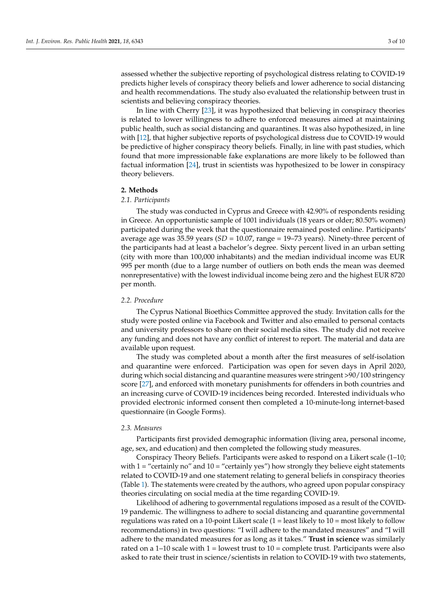assessed whether the subjective reporting of psychological distress relating to COVID-19 predicts higher levels of conspiracy theory beliefs and lower adherence to social distancing and health recommendations. The study also evaluated the relationship between trust in scientists and believing conspiracy theories.

In line with Cherry [\[23\]](#page-8-18), it was hypothesized that believing in conspiracy theories is related to lower willingness to adhere to enforced measures aimed at maintaining public health, such as social distancing and quarantines. It was also hypothesized, in line with [\[12\]](#page-8-8), that higher subjective reports of psychological distress due to COVID-19 would be predictive of higher conspiracy theory beliefs. Finally, in line with past studies, which found that more impressionable fake explanations are more likely to be followed than factual information [\[24\]](#page-8-19), trust in scientists was hypothesized to be lower in conspiracy theory believers.

#### **2. Methods**

### *2.1. Participants*

The study was conducted in Cyprus and Greece with 42.90% of respondents residing in Greece. An opportunistic sample of 1001 individuals (18 years or older; 80.50% women) participated during the week that the questionnaire remained posted online. Participants' average age was 35.59 years (*SD* = 10.07, range = 19–73 years). Ninety-three percent of the participants had at least a bachelor's degree. Sixty percent lived in an urban setting (city with more than 100,000 inhabitants) and the median individual income was EUR 995 per month (due to a large number of outliers on both ends the mean was deemed nonrepresentative) with the lowest individual income being zero and the highest EUR 8720 per month.

#### *2.2. Procedure*

The Cyprus National Bioethics Committee approved the study. Invitation calls for the study were posted online via Facebook and Twitter and also emailed to personal contacts and university professors to share on their social media sites. The study did not receive any funding and does not have any conflict of interest to report. The material and data are available upon request.

The study was completed about a month after the first measures of self-isolation and quarantine were enforced. Participation was open for seven days in April 2020, during which social distancing and quarantine measures were stringent >90/100 stringency score [\[27\]](#page-8-22), and enforced with monetary punishments for offenders in both countries and an increasing curve of COVID-19 incidences being recorded. Interested individuals who provided electronic informed consent then completed a 10-minute-long internet-based questionnaire (in Google Forms).

#### *2.3. Measures*

Participants first provided demographic information (living area, personal income, age, sex, and education) and then completed the following study measures.

Conspiracy Theory Beliefs. Participants were asked to respond on a Likert scale (1–10; with  $1 =$  "certainly no" and  $10 =$  "certainly yes") how strongly they believe eight statements related to COVID-19 and one statement relating to general beliefs in conspiracy theories (Table [1\)](#page-3-0). The statements were created by the authors, who agreed upon popular conspiracy theories circulating on social media at the time regarding COVID-19.

Likelihood of adhering to governmental regulations imposed as a result of the COVID-19 pandemic. The willingness to adhere to social distancing and quarantine governmental regulations was rated on a 10-point Likert scale  $(1 =$  least likely to  $10 =$  most likely to follow recommendations) in two questions: "I will adhere to the mandated measures" and "I will adhere to the mandated measures for as long as it takes." **Trust in science** was similarly rated on a  $1-10$  scale with  $1 =$  lowest trust to  $10 =$  complete trust. Participants were also asked to rate their trust in science/scientists in relation to COVID-19 with two statements,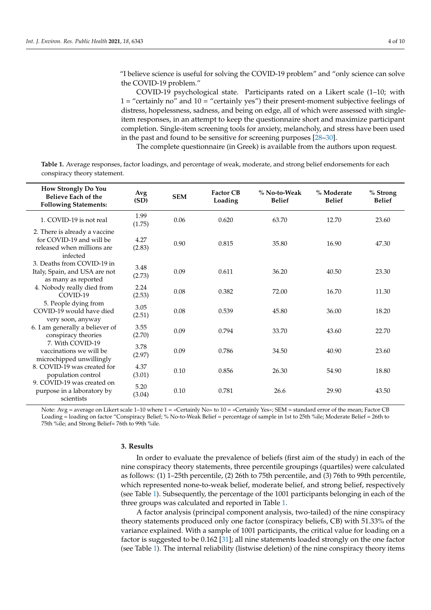"I believe science is useful for solving the COVID-19 problem" and "only science can solve the COVID-19 problem."

COVID-19 psychological state. Participants rated on a Likert scale (1–10; with  $1 =$  "certainly no" and  $10 =$  "certainly yes") their present-moment subjective feelings of distress, hopelessness, sadness, and being on edge, all of which were assessed with singleitem responses, in an attempt to keep the questionnaire short and maximize participant completion. Single-item screening tools for anxiety, melancholy, and stress have been used in the past and found to be sensitive for screening purposes [\[28](#page-8-23)[–30\]](#page-9-0).

The complete questionnaire (in Greek) is available from the authors upon request.

<span id="page-3-0"></span>**Table 1.** Average responses, factor loadings, and percentage of weak, moderate, and strong belief endorsements for each conspiracy theory statement.

| How Strongly Do You<br><b>Believe Each of the</b><br><b>Following Statements:</b>                                                                                                                                                                                                                                                                                                                                                                 | Avg<br>(SD)    | <b>SEM</b> | <b>Factor CB</b><br>Loading | % No-to-Weak<br><b>Belief</b> | % Moderate<br><b>Belief</b> | % Strong<br><b>Belief</b> |
|---------------------------------------------------------------------------------------------------------------------------------------------------------------------------------------------------------------------------------------------------------------------------------------------------------------------------------------------------------------------------------------------------------------------------------------------------|----------------|------------|-----------------------------|-------------------------------|-----------------------------|---------------------------|
| 1. COVID-19 is not real                                                                                                                                                                                                                                                                                                                                                                                                                           | 1.99<br>(1.75) | 0.06       | 0.620                       | 63.70                         | 12.70                       | 23.60                     |
| 2. There is already a vaccine<br>for COVID-19 and will be<br>released when millions are<br>infected<br>3. Deaths from COVID-19 in<br>Italy, Spain, and USA are not<br>as many as reported<br>4. Nobody really died from<br>COVID-19<br>5. People dying from<br>COVID-19 would have died<br>very soon, anyway<br>6. I am generally a believer of<br>conspiracy theories<br>7. With COVID-19<br>vaccinations we will be<br>microchipped unwillingly | 4.27<br>(2.83) | 0.90       | 0.815                       | 35.80                         | 16.90                       | 47.30                     |
|                                                                                                                                                                                                                                                                                                                                                                                                                                                   | 3.48<br>(2.73) | 0.09       | 0.611                       | 36.20                         | 40.50                       | 23.30                     |
|                                                                                                                                                                                                                                                                                                                                                                                                                                                   | 2.24<br>(2.53) | 0.08       | 0.382                       | 72.00                         | 16.70                       | 11.30                     |
|                                                                                                                                                                                                                                                                                                                                                                                                                                                   | 3.05<br>(2.51) | 0.08       | 0.539                       | 45.80                         | 36.00                       | 18.20                     |
|                                                                                                                                                                                                                                                                                                                                                                                                                                                   | 3.55<br>(2.70) | 0.09       | 0.794                       | 33.70                         | 43.60                       | 22.70                     |
|                                                                                                                                                                                                                                                                                                                                                                                                                                                   | 3.78<br>(2.97) | 0.09       | 0.786                       | 34.50                         | 40.90                       | 23.60                     |
| 8. COVID-19 was created for<br>population control                                                                                                                                                                                                                                                                                                                                                                                                 | 4.37<br>(3.01) | 0.10       | 0.856                       | 26.30                         | 54.90                       | 18.80                     |
| 9. COVID-19 was created on<br>purpose in a laboratory by<br>scientists                                                                                                                                                                                                                                                                                                                                                                            | 5.20<br>(3.04) | 0.10       | 0.781                       | 26.6                          | 29.90                       | 43.50                     |

Note: Avg = average on Likert scale 1–10 where 1 = «Certainly No» to 10 = «Certainly Yes»; SEM = standard error of the mean; Factor CB Loading = loading on factor "Conspiracy Belief; % No-to-Weak Belief = percentage of sample in 1st to 25th %ile; Moderate Belief = 26th to 75th %ile; and Strong Belief= 76th to 99th %ile.

#### **3. Results**

In order to evaluate the prevalence of beliefs (first aim of the study) in each of the nine conspiracy theory statements, three percentile groupings (quartiles) were calculated as follows: (1) 1–25th percentile, (2) 26th to 75th percentile, and (3) 76th to 99th percentile, which represented none-to-weak belief, moderate belief, and strong belief, respectively (see Table [1\)](#page-3-0). Subsequently, the percentage of the 1001 participants belonging in each of the three groups was calculated and reported in Table [1.](#page-3-0)

A factor analysis (principal component analysis, two-tailed) of the nine conspiracy theory statements produced only one factor (conspiracy beliefs, CB) with 51.33% of the variance explained. With a sample of 1001 participants, the critical value for loading on a factor is suggested to be 0.162 [\[31\]](#page-9-1); all nine statements loaded strongly on the one factor (see Table [1\)](#page-3-0). The internal reliability (listwise deletion) of the nine conspiracy theory items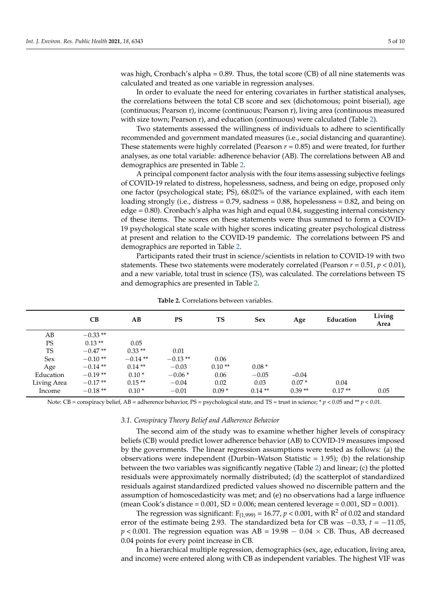was high, Cronbach's alpha =  $0.89$ . Thus, the total score (CB) of all nine statements was calculated and treated as one variable in regression analyses.

In order to evaluate the need for entering covariates in further statistical analyses, the correlations between the total CB score and sex (dichotomous; point biserial), age (continuous; Pearson r), income (continuous; Pearson r), living area (continuous measured with size town; Pearson r), and education (continuous) were calculated (Table [2\)](#page-4-0).

Two statements assessed the willingness of individuals to adhere to scientifically recommended and government mandated measures (i.e., social distancing and quarantine). These statements were highly correlated (Pearson *r* = 0.85) and were treated, for further analyses, as one total variable: adherence behavior (AB). The correlations between AB and demographics are presented in Table [2.](#page-4-0)

A principal component factor analysis with the four items assessing subjective feelings of COVID-19 related to distress, hopelessness, sadness, and being on edge, proposed only one factor (psychological state; PS), 68.02% of the variance explained, with each item loading strongly (i.e., distress  $= 0.79$ , sadness  $= 0.88$ , hopelessness  $= 0.82$ , and being on edge = 0.80). Cronbach's alpha was high and equal 0.84, suggesting internal consistency of these items. The scores on these statements were thus summed to form a COVID-19 psychological state scale with higher scores indicating greater psychological distress at present and relation to the COVID-19 pandemic. The correlations between PS and demographics are reported in Table [2.](#page-4-0)

Participants rated their trust in science/scientists in relation to COVID-19 with two statements. These two statements were moderately correlated (Pearson  $r = 0.51$ ,  $p < 0.01$ ), and a new variable, total trust in science (TS), was calculated. The correlations between TS and demographics are presented in Table [2.](#page-4-0)

<span id="page-4-0"></span>

|             | CB        | AВ        | <b>PS</b> | TS       | Sex      | Age      | Education | Living<br>Area |
|-------------|-----------|-----------|-----------|----------|----------|----------|-----------|----------------|
| AB          | $-0.33**$ |           |           |          |          |          |           |                |
| <b>PS</b>   | $0.13**$  | 0.05      |           |          |          |          |           |                |
| <b>TS</b>   | $-0.47**$ | $0.33**$  | 0.01      |          |          |          |           |                |
| <b>Sex</b>  | $-0.10**$ | $-0.14**$ | $-0.13**$ | 0.06     |          |          |           |                |
| Age         | $-0.14**$ | $0.14**$  | $-0.03$   | $0.10**$ | $0.08*$  |          |           |                |
| Education   | $-0.19**$ | $0.10*$   | $-0.06*$  | 0.06     | $-0.05$  | $-0.04$  |           |                |
| Living Area | $-0.17**$ | $0.15**$  | $-0.04$   | 0.02     | 0.03     | $0.07*$  | 0.04      |                |
| Income      | $-0.18**$ | $0.10*$   | $-0.01$   | $0.09*$  | $0.14**$ | $0.39**$ | $0.17**$  | 0.05           |

**Table 2.** Correlations between variables.

Note: CB = conspiracy belief, AB = adherence behavior, PS = psychological state, and TS = trust in science; \* *p* < 0.05 and \*\* *p* < 0.01.

#### *3.1. Conspiracy Theory Belief and Adherence Behavior*

The second aim of the study was to examine whether higher levels of conspiracy beliefs (CB) would predict lower adherence behavior (AB) to COVID-19 measures imposed by the governments. The linear regression assumptions were tested as follows: (a) the observations were independent (Durbin–Watson Statistic = 1.95); (b) the relationship between the two variables was significantly negative (Table [2\)](#page-4-0) and linear; (c) the plotted residuals were approximately normally distributed; (d) the scatterplot of standardized residuals against standardized predicted values showed no discernible pattern and the assumption of homoscedasticity was met; and (e) no observations had a large influence (mean Cook's distance =  $0.001$ , SD =  $0.006$ ; mean centered leverage =  $0.001$ , SD =  $0.001$ ).

The regression was significant:  $F_{(1,999)} = 16.77$ ,  $p < 0.001$ , with  $R^2$  of 0.02 and standard error of the estimate being 2.93. The standardized beta for CB was −0.33, *t* = −11.05,  $p < 0.001$ . The regression equation was AB = 19.98 – 0.04  $\times$  CB. Thus, AB decreased 0.04 points for every point increase in CB.

In a hierarchical multiple regression, demographics (sex, age, education, living area, and income) were entered along with CB as independent variables. The highest VIF was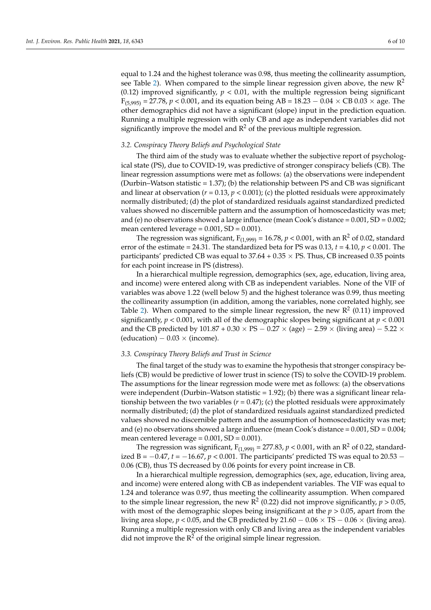equal to 1.24 and the highest tolerance was 0.98, thus meeting the collinearity assumption, see Table [2\)](#page-4-0). When compared to the simple linear regression given above, the new  $\mathbb{R}^2$ (0.12) improved significantly,  $p < 0.01$ , with the multiple regression being significant  $F_{(5,995)} = 27.78$ ,  $p < 0.001$ , and its equation being AB = 18.23 – 0.04  $\times$  CB 0.03  $\times$  age. The other demographics did not have a significant (slope) input in the prediction equation. Running a multiple regression with only CB and age as independent variables did not significantly improve the model and  $R^2$  of the previous multiple regression.

#### *3.2. Conspiracy Theory Beliefs and Psychological State*

The third aim of the study was to evaluate whether the subjective report of psychological state (PS), due to COVID-19, was predictive of stronger conspiracy beliefs (CB). The linear regression assumptions were met as follows: (a) the observations were independent (Durbin–Watson statistic = 1.37); (b) the relationship between PS and CB was significant and linear at observation  $(r = 0.13, p < 0.001)$ ; (c) the plotted residuals were approximately normally distributed; (d) the plot of standardized residuals against standardized predicted values showed no discernible pattern and the assumption of homoscedasticity was met; and (e) no observations showed a large influence (mean Cook's distance  $= 0.001$ , SD  $= 0.002$ ; mean centered leverage  $= 0.001$ , SD  $= 0.001$ ).

The regression was significant,  $F_{(1,999)} = 16.78$ ,  $p < 0.001$ , with an  $R^2$  of 0.02, standard error of the estimate = 24.31. The standardized beta for PS was  $0.13$ ,  $t = 4.10$ ,  $p < 0.001$ . The participants' predicted CB was equal to  $37.64 + 0.35 \times PS$ . Thus, CB increased 0.35 points for each point increase in PS (distress).

In a hierarchical multiple regression, demographics (sex, age, education, living area, and income) were entered along with CB as independent variables. None of the VIF of variables was above 1.22 (well below 5) and the highest tolerance was 0.99, thus meeting the collinearity assumption (in addition, among the variables, none correlated highly, see Table [2\)](#page-4-0). When compared to the simple linear regression, the new  $R^2$  (0.11) improved significantly,  $p < 0.001$ , with all of the demographic slopes being significant at  $p < 0.001$ and the CB predicted by  $101.87 + 0.30 \times PS - 0.27 \times (age) - 2.59 \times (living area) - 5.22 \times$ (education)  $-0.03 \times$  (income).

#### *3.3. Conspiracy Theory Beliefs and Trust in Science*

The final target of the study was to examine the hypothesis that stronger conspiracy beliefs (CB) would be predictive of lower trust in science (TS) to solve the COVID-19 problem. The assumptions for the linear regression mode were met as follows: (a) the observations were independent (Durbin–Watson statistic = 1.92); (b) there was a significant linear relationship between the two variables  $(r = 0.47)$ ; (c) the plotted residuals were approximately normally distributed; (d) the plot of standardized residuals against standardized predicted values showed no discernible pattern and the assumption of homoscedasticity was met; and (e) no observations showed a large influence (mean Cook's distance  $= 0.001$ , SD  $= 0.004$ ; mean centered leverage =  $0.001$ , SD =  $0.001$ ).

The regression was significant,  $F_{(1,999)} = 277.83$ ,  $p < 0.001$ , with an  $R^2$  of 0.22, standardized B =  $-0.47$ , *t* =  $-16.67$ , *p* < 0.001. The participants' predicted TS was equal to 20.53 − 0.06 (CB), thus TS decreased by 0.06 points for every point increase in CB.

In a hierarchical multiple regression, demographics (sex, age, education, living area, and income) were entered along with CB as independent variables. The VIF was equal to 1.24 and tolerance was 0.97, thus meeting the collinearity assumption. When compared to the simple linear regression, the new  $\mathbb{R}^2$  (0.22) did not improve significantly,  $p > 0.05$ , with most of the demographic slopes being insignificant at the *p* > 0.05, apart from the living area slope,  $p < 0.05$ , and the CB predicted by 21.60  $-0.06 \times$  TS  $-0.06 \times$  (living area). Running a multiple regression with only CB and living area as the independent variables did not improve the  $R^2$  of the original simple linear regression.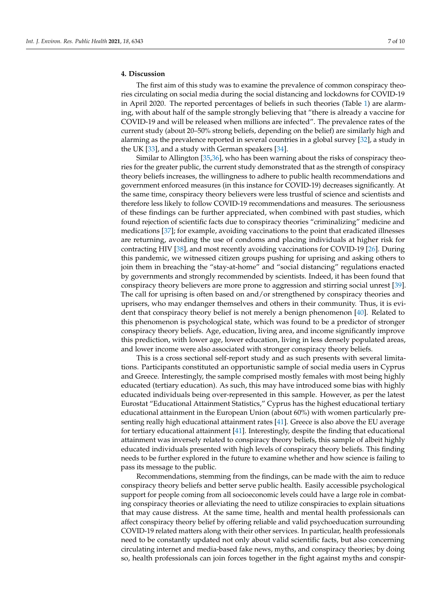## **4. Discussion**

The first aim of this study was to examine the prevalence of common conspiracy theories circulating on social media during the social distancing and lockdowns for COVID-19 in April 2020. The reported percentages of beliefs in such theories (Table [1\)](#page-3-0) are alarming, with about half of the sample strongly believing that "there is already a vaccine for COVID-19 and will be released when millions are infected". The prevalence rates of the current study (about 20–50% strong beliefs, depending on the belief) are similarly high and alarming as the prevalence reported in several countries in a global survey [\[32\]](#page-9-2), a study in the UK [\[33\]](#page-9-3), and a study with German speakers [\[34\]](#page-9-4).

Similar to Allington [\[35](#page-9-5)[,36\]](#page-9-6), who has been warning about the risks of conspiracy theories for the greater public, the current study demonstrated that as the strength of conspiracy theory beliefs increases, the willingness to adhere to public health recommendations and government enforced measures (in this instance for COVID-19) decreases significantly. At the same time, conspiracy theory believers were less trustful of science and scientists and therefore less likely to follow COVID-19 recommendations and measures. The seriousness of these findings can be further appreciated, when combined with past studies, which found rejection of scientific facts due to conspiracy theories "criminalizing" medicine and medications [\[37\]](#page-9-7); for example, avoiding vaccinations to the point that eradicated illnesses are returning, avoiding the use of condoms and placing individuals at higher risk for contracting HIV [\[38\]](#page-9-8), and most recently avoiding vaccinations for COVID-19 [\[26\]](#page-8-21). During this pandemic, we witnessed citizen groups pushing for uprising and asking others to join them in breaching the "stay-at-home" and "social distancing" regulations enacted by governments and strongly recommended by scientists. Indeed, it has been found that conspiracy theory believers are more prone to aggression and stirring social unrest [\[39\]](#page-9-9). The call for uprising is often based on and/or strengthened by conspiracy theories and uprisers, who may endanger themselves and others in their community. Thus, it is evident that conspiracy theory belief is not merely a benign phenomenon [\[40\]](#page-9-10). Related to this phenomenon is psychological state, which was found to be a predictor of stronger conspiracy theory beliefs. Age, education, living area, and income significantly improve this prediction, with lower age, lower education, living in less densely populated areas, and lower income were also associated with stronger conspiracy theory beliefs.

This is a cross sectional self-report study and as such presents with several limitations. Participants constituted an opportunistic sample of social media users in Cyprus and Greece. Interestingly, the sample comprised mostly females with most being highly educated (tertiary education). As such, this may have introduced some bias with highly educated individuals being over-represented in this sample. However, as per the latest Eurostat "Educational Attainment Statistics," Cyprus has the highest educational tertiary educational attainment in the European Union (about 60%) with women particularly presenting really high educational attainment rates [\[41\]](#page-9-11). Greece is also above the EU average for tertiary educational attainment [\[41\]](#page-9-11). Interestingly, despite the finding that educational attainment was inversely related to conspiracy theory beliefs, this sample of albeit highly educated individuals presented with high levels of conspiracy theory beliefs. This finding needs to be further explored in the future to examine whether and how science is failing to pass its message to the public.

Recommendations, stemming from the findings, can be made with the aim to reduce conspiracy theory beliefs and better serve public health. Easily accessible psychological support for people coming from all socioeconomic levels could have a large role in combating conspiracy theories or alleviating the need to utilize conspiracies to explain situations that may cause distress. At the same time, health and mental health professionals can affect conspiracy theory belief by offering reliable and valid psychoeducation surrounding COVID-19 related matters along with their other services. In particular, health professionals need to be constantly updated not only about valid scientific facts, but also concerning circulating internet and media-based fake news, myths, and conspiracy theories; by doing so, health professionals can join forces together in the fight against myths and conspir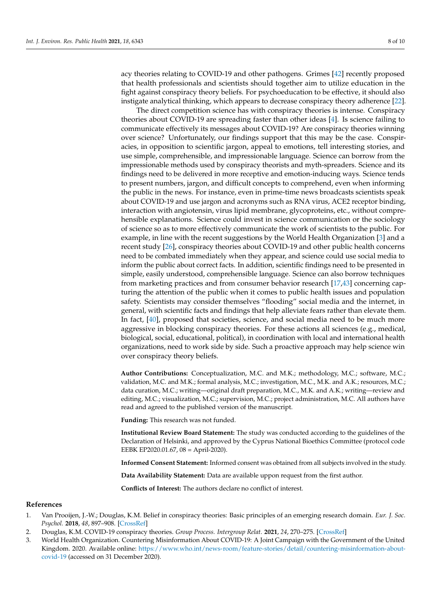acy theories relating to COVID-19 and other pathogens. Grimes [\[42\]](#page-9-12) recently proposed that health professionals and scientists should together aim to utilize education in the fight against conspiracy theory beliefs. For psychoeducation to be effective, it should also instigate analytical thinking, which appears to decrease conspiracy theory adherence [\[22\]](#page-8-24).

The direct competition science has with conspiracy theories is intense. Conspiracy theories about COVID-19 are spreading faster than other ideas [\[4\]](#page-8-0). Is science failing to communicate effectively its messages about COVID-19? Are conspiracy theories winning over science? Unfortunately, our findings support that this may be the case. Conspiracies, in opposition to scientific jargon, appeal to emotions, tell interesting stories, and use simple, comprehensible, and impressionable language. Science can borrow from the impressionable methods used by conspiracy theorists and myth-spreaders. Science and its findings need to be delivered in more receptive and emotion-inducing ways. Science tends to present numbers, jargon, and difficult concepts to comprehend, even when informing the public in the news. For instance, even in prime-time news broadcasts scientists speak about COVID-19 and use jargon and acronyms such as RNA virus, ACE2 receptor binding, interaction with angiotensin, virus lipid membrane, glycoproteins, etc., without comprehensible explanations. Science could invest in science communication or the sociology of science so as to more effectively communicate the work of scientists to the public. For example, in line with the recent suggestions by the World Health Organization [\[3\]](#page-7-2) and a recent study [\[26\]](#page-8-21), conspiracy theories about COVID-19 and other public health concerns need to be combated immediately when they appear, and science could use social media to inform the public about correct facts. In addition, scientific findings need to be presented in simple, easily understood, comprehensible language. Science can also borrow techniques from marketing practices and from consumer behavior research [\[17,](#page-8-13)[43\]](#page-9-13) concerning capturing the attention of the public when it comes to public health issues and population safety. Scientists may consider themselves "flooding" social media and the internet, in general, with scientific facts and findings that help alleviate fears rather than elevate them. In fact, [\[40\]](#page-9-10), proposed that societies, science, and social media need to be much more aggressive in blocking conspiracy theories. For these actions all sciences (e.g., medical, biological, social, educational, political), in coordination with local and international health organizations, need to work side by side. Such a proactive approach may help science win over conspiracy theory beliefs.

**Author Contributions:** Conceptualization, M.C. and M.K.; methodology, M.C.; software, M.C.; validation, M.C. and M.K.; formal analysis, M.C.; investigation, M.C., M.K. and A.K.; resources, M.C.; data curation, M.C.; writing—original draft preparation, M.C., M.K. and A.K.; writing—review and editing, M.C.; visualization, M.C.; supervision, M.C.; project administration, M.C. All authors have read and agreed to the published version of the manuscript.

**Funding:** This research was not funded.

**Institutional Review Board Statement:** The study was conducted according to the guidelines of the Declaration of Helsinki, and approved by the Cyprus National Bioethics Committee (protocol code EEBK EP2020.01.67, 08 = April-2020).

**Informed Consent Statement:** Informed consent was obtained from all subjects involved in the study.

**Data Availability Statement:** Data are available uppon request from the first author.

**Conflicts of Interest:** The authors declare no conflict of interest.

### **References**

- <span id="page-7-0"></span>1. Van Prooijen, J.-W.; Douglas, K.M. Belief in conspiracy theories: Basic principles of an emerging research domain. *Eur. J. Soc. Psychol.* **2018**, *48*, 897–908. [\[CrossRef\]](http://doi.org/10.1002/ejsp.2530)
- <span id="page-7-1"></span>2. Douglas, K.M. COVID-19 conspiracy theories. *Group Process. Intergroup Relat.* **2021**, *24*, 270–275. [\[CrossRef\]](http://doi.org/10.1177/1368430220982068)
- <span id="page-7-2"></span>3. World Health Organization. Countering Misinformation About COVID-19: A Joint Campaign with the Government of the United Kingdom. 2020. Available online: [https://www.who.int/news-room/feature-stories/detail/countering-misinformation-about](https://www.who.int/news-room/feature-stories/detail/countering-misinformation-about-covid-19)[covid-19](https://www.who.int/news-room/feature-stories/detail/countering-misinformation-about-covid-19) (accessed on 31 December 2020).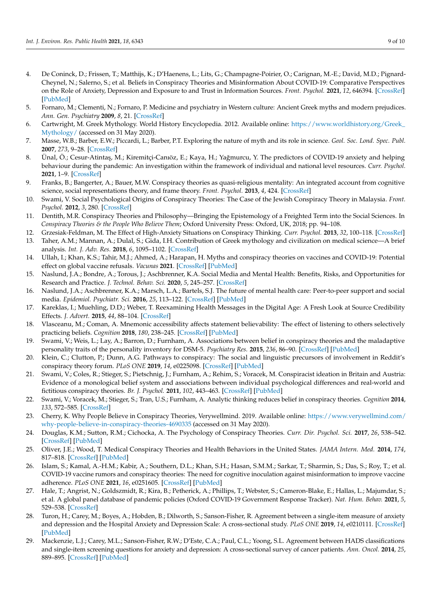- <span id="page-8-0"></span>4. De Coninck, D.; Frissen, T.; Matthijs, K.; D'Haenens, L.; Lits, G.; Champagne-Poirier, O.; Carignan, M.-E.; David, M.D.; Pignard-Cheynel, N.; Salerno, S.; et al. Beliefs in Conspiracy Theories and Misinformation About COVID-19: Comparative Perspectives on the Role of Anxiety, Depression and Exposure to and Trust in Information Sources. *Front. Psychol.* **2021**, *12*, 646394. [\[CrossRef\]](http://doi.org/10.3389/fpsyg.2021.646394) [\[PubMed\]](http://www.ncbi.nlm.nih.gov/pubmed/33935904)
- <span id="page-8-1"></span>5. Fornaro, M.; Clementi, N.; Fornaro, P. Medicine and psychiatry in Western culture: Ancient Greek myths and modern prejudices. *Ann. Gen. Psychiatry* **2009**, *8*, 21. [\[CrossRef\]](http://doi.org/10.1186/1744-859X-8-21)
- <span id="page-8-2"></span>6. Cartwright, M. Greek Mythology. World History Encyclopedia. 2012. Available online: [https://www.worldhistory.org/Greek\\_](https://www.worldhistory.org/Greek_Mythology/) [Mythology/](https://www.worldhistory.org/Greek_Mythology/) (accessed on 31 May 2020).
- <span id="page-8-3"></span>7. Masse, W.B.; Barber, E.W.; Piccardi, L.; Barber, P.T. Exploring the nature of myth and its role in science. *Geol. Soc. Lond. Spec. Publ.* **2007**, *273*, 9–28. [\[CrossRef\]](http://doi.org/10.1144/GSL.SP.2007.273.01.02)
- <span id="page-8-4"></span>8. Ünal, Ö.; Cesur-Atintaş, M.; Kiremitçi-Canıöz, E.; Kaya, H.; Yağmurcu, Y. The predictors of COVID-19 anxiety and helping behaviour during the pandemic: An investigation within the framework of individual and national level resources. *Curr. Psychol.* **2021**, 1–9. [\[CrossRef\]](http://doi.org/10.1007/s12144-021-01749-w)
- <span id="page-8-5"></span>9. Franks, B.; Bangerter, A.; Bauer, M.W. Conspiracy theories as quasi-religious mentality: An integrated account from cognitive science, social representations theory, and frame theory. *Front. Psychol.* **2013**, *4*, 424. [\[CrossRef\]](http://doi.org/10.3389/fpsyg.2013.00424)
- <span id="page-8-6"></span>10. Swami, V. Social Psychological Origins of Conspiracy Theories: The Case of the Jewish Conspiracy Theory in Malaysia. *Front. Psychol.* **2012**, *3*, 280. [\[CrossRef\]](http://doi.org/10.3389/fpsyg.2012.00280)
- <span id="page-8-7"></span>11. Dentith, M.R. Conspiracy Theories and Philosophy—Bringing the Epistemology of a Freighted Term into the Social Sciences. In *Conspiracy Theories & the People Who Believe Them*; Oxford University Press: Oxford, UK, 2018; pp. 94–108.
- <span id="page-8-8"></span>12. Grzesiak-Feldman, M. The Effect of High-Anxiety Situations on Conspiracy Thinking. *Curr. Psychol.* **2013**, *32*, 100–118. [\[CrossRef\]](http://doi.org/10.1007/s12144-013-9165-6)
- <span id="page-8-9"></span>13. Taher, A.M.; Mannan, A.; Dulal, S.; Gida, I.H. Contribution of Greek mythology and civilization on medical science—A brief analysis. *Int. J. Adv. Res.* **2018**, *6*, 1095–1102. [\[CrossRef\]](http://doi.org/10.21474/IJAR01/8098)
- <span id="page-8-10"></span>14. Ullah, I.; Khan, K.S.; Tahir, M.J.; Ahmed, A.; Harapan, H. Myths and conspiracy theories on vaccines and COVID-19: Potential effect on global vaccine refusals. *Vacunas* **2021**. [\[CrossRef\]](http://doi.org/10.1016/j.vacun.2021.01.001) [\[PubMed\]](http://www.ncbi.nlm.nih.gov/pubmed/33727904)
- <span id="page-8-11"></span>15. Naslund, J.A.; Bondre, A.; Torous, J.; Aschbrenner, K.A. Social Media and Mental Health: Benefits, Risks, and Opportunities for Research and Practice. *J. Technol. Behav. Sci.* **2020**, *5*, 245–257. [\[CrossRef\]](http://doi.org/10.1007/s41347-020-00134-x)
- <span id="page-8-12"></span>16. Naslund, J.A.; Aschbrenner, K.A.; Marsch, L.A.; Bartels, S.J. The future of mental health care: Peer-to-peer support and social media. *Epidemiol. Psychiatr. Sci.* **2016**, *25*, 113–122. [\[CrossRef\]](http://doi.org/10.1017/S2045796015001067) [\[PubMed\]](http://www.ncbi.nlm.nih.gov/pubmed/26744309)
- <span id="page-8-13"></span>17. Kareklas, I.; Muehling, D.D.; Weber, T. Reexamining Health Messages in the Digital Age: A Fresh Look at Source Credibility Effects. *J. Advert.* **2015**, *44*, 88–104. [\[CrossRef\]](http://doi.org/10.1080/00913367.2015.1018461)
- <span id="page-8-14"></span>18. Vlasceanu, M.; Coman, A. Mnemonic accessibility affects statement believability: The effect of listening to others selectively practicing beliefs. *Cognition* **2018**, *180*, 238–245. [\[CrossRef\]](http://doi.org/10.1016/j.cognition.2018.07.015) [\[PubMed\]](http://www.ncbi.nlm.nih.gov/pubmed/30092461)
- <span id="page-8-15"></span>19. Swami, V.; Weis, L.; Lay, A.; Barron, D.; Furnham, A. Associations between belief in conspiracy theories and the maladaptive personality traits of the personality inventory for DSM-5. *Psychiatry Res.* **2015**, *236*, 86–90. [\[CrossRef\]](http://doi.org/10.1016/j.psychres.2015.12.027) [\[PubMed\]](http://www.ncbi.nlm.nih.gov/pubmed/26776299)
- <span id="page-8-16"></span>20. Klein, C.; Clutton, P.; Dunn, A.G. Pathways to conspiracy: The social and linguistic precursors of involvement in Reddit's conspiracy theory forum. *PLoS ONE* **2019**, *14*, e0225098. [\[CrossRef\]](http://doi.org/10.1371/journal.pone.0225098) [\[PubMed\]](http://www.ncbi.nlm.nih.gov/pubmed/31738787)
- <span id="page-8-17"></span>21. Swami, V.; Coles, R.; Stieger, S.; Pietschnig, J.; Furnham, A.; Rehim, S.; Voracek, M. Conspiracist ideation in Britain and Austria: Evidence of a monological belief system and associations between individual psychological differences and real-world and fictitious conspiracy theories. *Br. J. Psychol.* **2011**, *102*, 443–463. [\[CrossRef\]](http://doi.org/10.1111/j.2044-8295.2010.02004.x) [\[PubMed\]](http://www.ncbi.nlm.nih.gov/pubmed/21751999)
- <span id="page-8-24"></span>22. Swami, V.; Voracek, M.; Stieger, S.; Tran, U.S.; Furnham, A. Analytic thinking reduces belief in conspiracy theories. *Cognition* **2014**, *133*, 572–585. [\[CrossRef\]](http://doi.org/10.1016/j.cognition.2014.08.006)
- <span id="page-8-18"></span>23. Cherry, K. Why People Believe in Conspiracy Theories, Verywellmind. 2019. Available online: [https://www.verywellmind.com/](https://www.verywellmind.com/why-people-believe-in-conspiracy-theories-4690335) [why-people-believe-in-conspiracy-theories-4690335](https://www.verywellmind.com/why-people-believe-in-conspiracy-theories-4690335) (accessed on 31 May 2020).
- <span id="page-8-19"></span>24. Douglas, K.M.; Sutton, R.M.; Cichocka, A. The Psychology of Conspiracy Theories. *Curr. Dir. Psychol. Sci.* **2017**, *26*, 538–542. [\[CrossRef\]](http://doi.org/10.1177/0963721417718261) [\[PubMed\]](http://www.ncbi.nlm.nih.gov/pubmed/29276345)
- <span id="page-8-20"></span>25. Oliver, J.E.; Wood, T. Medical Conspiracy Theories and Health Behaviors in the United States. *JAMA Intern. Med.* **2014**, *174*, 817–818. [\[CrossRef\]](http://doi.org/10.1001/jamainternmed.2014.190) [\[PubMed\]](http://www.ncbi.nlm.nih.gov/pubmed/24638266)
- <span id="page-8-21"></span>26. Islam, S.; Kamal, A.-H.M.; Kabir, A.; Southern, D.L.; Khan, S.H.; Hasan, S.M.M.; Sarkar, T.; Sharmin, S.; Das, S.; Roy, T.; et al. COVID-19 vaccine rumors and conspiracy theories: The need for cognitive inoculation against misinformation to improve vaccine adherence. *PLoS ONE* **2021**, *16*, e0251605. [\[CrossRef\]](http://doi.org/10.1371/journal.pone.0251605) [\[PubMed\]](http://www.ncbi.nlm.nih.gov/pubmed/33979412)
- <span id="page-8-22"></span>27. Hale, T.; Angrist, N.; Goldszmidt, R.; Kira, B.; Petherick, A.; Phillips, T.; Webster, S.; Cameron-Blake, E.; Hallas, L.; Majumdar, S.; et al. A global panel database of pandemic policies (Oxford COVID-19 Government Response Tracker). *Nat. Hum. Behav.* **2021**, *5*, 529–538. [\[CrossRef\]](http://doi.org/10.1038/s41562-021-01079-8)
- <span id="page-8-23"></span>28. Turon, H.; Carey, M.; Boyes, A.; Hobden, B.; Dilworth, S.; Sanson-Fisher, R. Agreement between a single-item measure of anxiety and depression and the Hospital Anxiety and Depression Scale: A cross-sectional study. *PLoS ONE* **2019**, *14*, e0210111. [\[CrossRef\]](http://doi.org/10.1371/journal.pone.0210111) [\[PubMed\]](http://www.ncbi.nlm.nih.gov/pubmed/30608969)
- 29. Mackenzie, L.J.; Carey, M.L.; Sanson-Fisher, R.W.; D'Este, C.A.; Paul, C.L.; Yoong, S.L. Agreement between HADS classifications and single-item screening questions for anxiety and depression: A cross-sectional survey of cancer patients. *Ann. Oncol.* **2014**, *25*, 889–895. [\[CrossRef\]](http://doi.org/10.1093/annonc/mdu023) [\[PubMed\]](http://www.ncbi.nlm.nih.gov/pubmed/24667721)